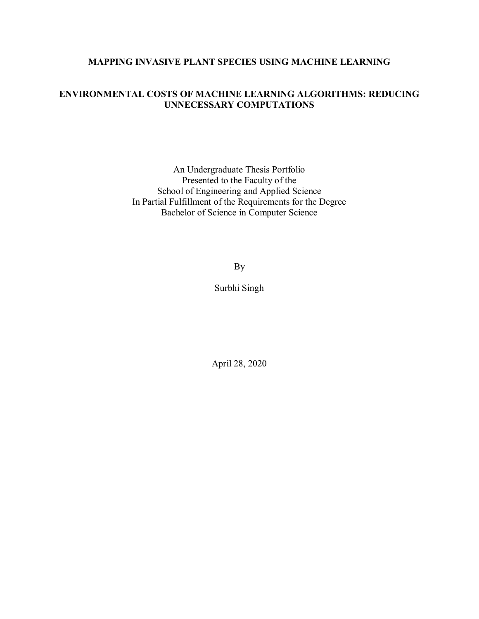# **MAPPING INVASIVE PLANT SPECIES USING MACHINE LEARNING**

#### **ENVIRONMENTAL COSTS OF MACHINE LEARNING ALGORITHMS: REDUCING UNNECESSARY COMPUTATIONS**

An Undergraduate Thesis Portfolio Presented to the Faculty of the School of Engineering and Applied Science In Partial Fulfillment of the Requirements for the Degree Bachelor of Science in Computer Science

By

Surbhi Singh

April 28, 2020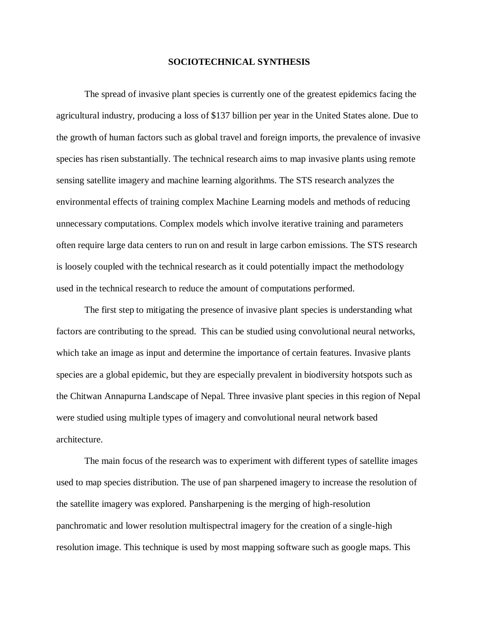#### **SOCIOTECHNICAL SYNTHESIS**

The spread of invasive plant species is currently one of the greatest epidemics facing the agricultural industry, producing a loss of \$137 billion per year in the United States alone. Due to the growth of human factors such as global travel and foreign imports, the prevalence of invasive species has risen substantially. The technical research aims to map invasive plants using remote sensing satellite imagery and machine learning algorithms. The STS research analyzes the environmental effects of training complex Machine Learning models and methods of reducing unnecessary computations. Complex models which involve iterative training and parameters often require large data centers to run on and result in large carbon emissions. The STS research is loosely coupled with the technical research as it could potentially impact the methodology used in the technical research to reduce the amount of computations performed.

The first step to mitigating the presence of invasive plant species is understanding what factors are contributing to the spread. This can be studied using convolutional neural networks, which take an image as input and determine the importance of certain features. Invasive plants species are a global epidemic, but they are especially prevalent in biodiversity hotspots such as the Chitwan Annapurna Landscape of Nepal. Three invasive plant species in this region of Nepal were studied using multiple types of imagery and convolutional neural network based architecture.

The main focus of the research was to experiment with different types of satellite images used to map species distribution. The use of pan sharpened imagery to increase the resolution of the satellite imagery was explored. Pansharpening is the merging of high-resolution panchromatic and lower resolution multispectral imagery for the creation of a single-high resolution image. This technique is used by most mapping software such as google maps. This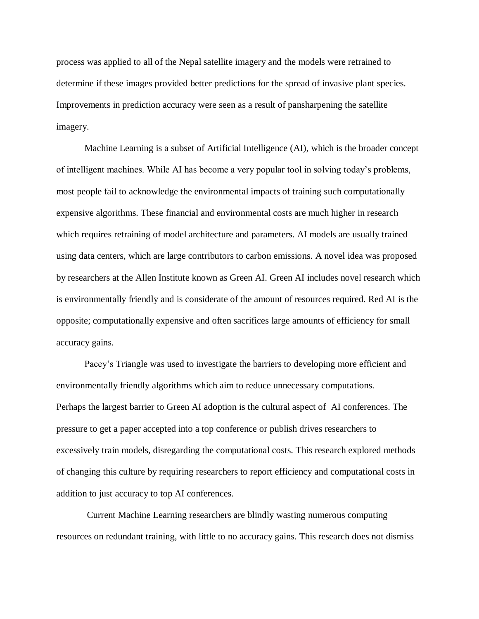process was applied to all of the Nepal satellite imagery and the models were retrained to determine if these images provided better predictions for the spread of invasive plant species. Improvements in prediction accuracy were seen as a result of pansharpening the satellite imagery.

Machine Learning is a subset of Artificial Intelligence (AI), which is the broader concept of intelligent machines. While AI has become a very popular tool in solving today's problems, most people fail to acknowledge the environmental impacts of training such computationally expensive algorithms. These financial and environmental costs are much higher in research which requires retraining of model architecture and parameters. AI models are usually trained using data centers, which are large contributors to carbon emissions. A novel idea was proposed by researchers at the Allen Institute known as Green AI. Green AI includes novel research which is environmentally friendly and is considerate of the amount of resources required. Red AI is the opposite; computationally expensive and often sacrifices large amounts of efficiency for small accuracy gains.

Pacey's Triangle was used to investigate the barriers to developing more efficient and environmentally friendly algorithms which aim to reduce unnecessary computations. Perhaps the largest barrier to Green AI adoption is the cultural aspect of AI conferences. The pressure to get a paper accepted into a top conference or publish drives researchers to excessively train models, disregarding the computational costs. This research explored methods of changing this culture by requiring researchers to report efficiency and computational costs in addition to just accuracy to top AI conferences.

Current Machine Learning researchers are blindly wasting numerous computing resources on redundant training, with little to no accuracy gains. This research does not dismiss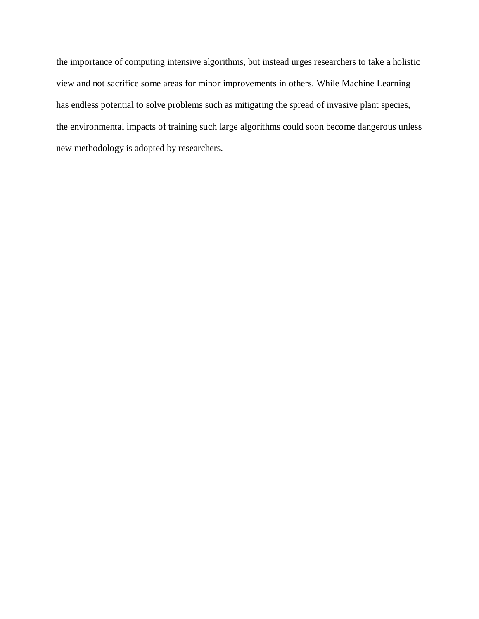the importance of computing intensive algorithms, but instead urges researchers to take a holistic view and not sacrifice some areas for minor improvements in others. While Machine Learning has endless potential to solve problems such as mitigating the spread of invasive plant species, the environmental impacts of training such large algorithms could soon become dangerous unless new methodology is adopted by researchers.